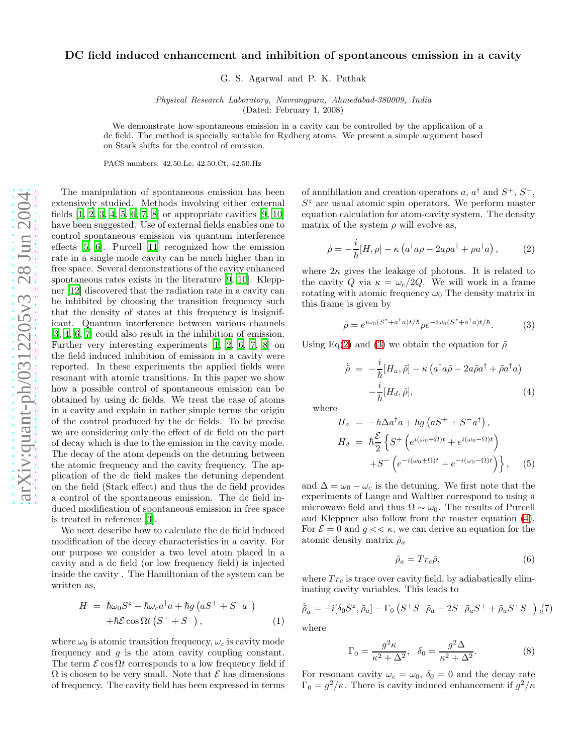## DC field induced enhancement and inhibition of spontaneous emission in a cavity

G. S. Agarwal and P. K. Pathak

Physical Research Laboratory, Navrangpura, Ahmedabad-380009, India (Dated: February 1, 2008)

We demonstrate how spontaneous emission in a cavity can be controlled by the application of a dc field. The method is specially suitable for Rydberg atoms. We present a simple argument based on Stark shifts for the control of emission.

PACS numbers: 42.50.Lc, 42.50.Ct, 42.50.Hz

The manipulation of spontaneous emission has been extensively studied. Methods involving either external fields  $[1, 2, 3, 4, 5, 6, 7, 8]$  $[1, 2, 3, 4, 5, 6, 7, 8]$  $[1, 2, 3, 4, 5, 6, 7, 8]$  $[1, 2, 3, 4, 5, 6, 7, 8]$  $[1, 2, 3, 4, 5, 6, 7, 8]$  $[1, 2, 3, 4, 5, 6, 7, 8]$  $[1, 2, 3, 4, 5, 6, 7, 8]$  $[1, 2, 3, 4, 5, 6, 7, 8]$  $[1, 2, 3, 4, 5, 6, 7, 8]$  or appropriate cavities  $[9, 10]$  $[9, 10]$  $[9, 10]$ have been suggested. Use of external fields enables one to control spontaneous emission via quantum interference effects [\[5,](#page-2-4) [6](#page-2-5)]. Purcell [\[11\]](#page-3-2) recognized how the emission rate in a single mode cavity can be much higher than in free space. Several demonstrations of the cavity enhanced spontaneous rates exists in the literature [\[9](#page-3-0), [10\]](#page-3-1). Kleppner [\[12\]](#page-3-3) discovered that the radiation rate in a cavity can be inhibited by choosing the transition frequency such that the density of states at this frequency is insignificant. Quantum interference between various channels [\[3,](#page-2-2) [4,](#page-2-3) [6,](#page-2-5) [7\]](#page-2-6) could also result in the inhibition of emission. Further very interesting experiments [\[1](#page-2-0), [2,](#page-2-1) [6,](#page-2-5) [7](#page-2-6), [8](#page-2-7)] on the field induced inhibition of emission in a cavity were reported. In these experiments the applied fields were resonant with atomic transitions. In this paper we show how a possible control of spontaneous emission can be obtained by using dc fields. We treat the case of atoms in a cavity and explain in rather simple terms the origin of the control produced by the dc fields. To be precise we are considering only the effect of dc field on the part of decay which is due to the emission in the cavity mode. The decay of the atom depends on the detuning between the atomic frequency and the cavity frequency. The application of the dc field makes the detuning dependent on the field (Stark effect) and thus the dc field provides a control of the spontaneous emission. The dc field induced modification of spontaneous emission in free space is treated in reference [\[3\]](#page-2-2).

We next describe how to calculate the dc field induced modification of the decay characteristics in a cavity. For our purpose we consider a two level atom placed in a cavity and a dc field (or low frequency field) is injected inside the cavity . The Hamiltonian of the system can be written as,

$$
H = \hbar\omega_0 S^z + \hbar\omega_c a^\dagger a + \hbar g \left( a S^+ + S^- a^\dagger \right)
$$

$$
+ \hbar \mathcal{E} \cos \Omega t \left( S^+ + S^- \right), \tag{1}
$$

where  $\omega_0$  is atomic transition frequency,  $\omega_c$  is cavity mode frequency and g is the atom cavity coupling constant. The term  $\mathcal E \cos \Omega t$  corresponds to a low frequency field if  $\Omega$  is chosen to be very small. Note that  $\mathcal E$  has dimensions of frequency. The cavity field has been expressed in terms

of annihilation and creation operators a,  $a^{\dagger}$  and  $S^+$ ,  $S^-$ ,  $S<sup>z</sup>$  are usual atomic spin operators. We perform master equation calculation for atom-cavity system. The density matrix of the system  $\rho$  will evolve as,

$$
\dot{\rho} = -\frac{i}{\hbar} [H, \rho] - \kappa \left( a^{\dagger} a \rho - 2a \rho a^{\dagger} + \rho a^{\dagger} a \right), \tag{2}
$$

<span id="page-0-0"></span>where  $2\kappa$  gives the leakage of photons. It is related to the cavity Q via  $\kappa = \omega_c/2Q$ . We will work in a frame rotating with atomic frequency  $\omega_0$  The density matrix in this frame is given by

$$
\tilde{\rho} = e^{i\omega_0 (S^z + a^\dagger a)t/\hbar} \rho e^{-i\omega_0 (S^z + a^\dagger a)t/\hbar}.\tag{3}
$$

<span id="page-0-2"></span><span id="page-0-1"></span>Using Eq[\(2\)](#page-0-0) and [\(3\)](#page-0-1) we obtain the equation for  $\tilde{\rho}$ 

$$
\tilde{\rho} = -\frac{i}{\hbar} [H_a, \tilde{\rho}] - \kappa \left( a^\dagger a \tilde{\rho} - 2a \tilde{\rho} a^\dagger + \tilde{\rho} a^\dagger a \right) -\frac{i}{\hbar} [H_d, \tilde{\rho}], \tag{4}
$$

where

$$
H_a = -\hbar \Delta a^{\dagger} a + \hbar g \left( a S^+ + S^- a^{\dagger} \right),
$$
  
\n
$$
H_d = \hbar \frac{\mathcal{E}}{2} \left\{ S^+ \left( e^{i(\omega_0 + \Omega)t} + e^{i(\omega_0 - \Omega)t} \right) + S^- \left( e^{-i(\omega_0 + \Omega)t} + e^{-i(\omega_0 - \Omega)t} \right) \right\}, \quad (5)
$$

and  $\Delta = \omega_0 - \omega_c$  is the detuning. We first note that the experiments of Lange and Walther correspond to using a microwave field and thus  $\Omega \sim \omega_0$ . The results of Purcell and Kleppner also follow from the master equation [\(4\)](#page-0-2). For  $\mathcal{E} = 0$  and  $g \ll \kappa$ , we can derive an equation for the atomic density matrix  $\rho_a$ 

$$
\tilde{\rho}_a = Tr_c \tilde{\rho},\tag{6}
$$

<span id="page-0-3"></span>where  $Tr_c$  is trace over cavity field, by adiabatically eliminating cavity variables. This leads to

$$
\dot{\tilde{\rho}}_a = -i[\delta_0 S^z, \tilde{\rho}_a] - \Gamma_0 \left( S^+ S^- \tilde{\rho}_a - 2S^- \tilde{\rho}_a S^+ + \tilde{\rho}_a S^+ S^- \right), (7)
$$

where

$$
\Gamma_0 = \frac{g^2 \kappa}{\kappa^2 + \Delta^2}, \quad \delta_0 = \frac{g^2 \Delta}{\kappa^2 + \Delta^2}.
$$
 (8)

For resonant cavity  $\omega_c = \omega_0$ ,  $\delta_0 = 0$  and the decay rate  $\Gamma_0 = g^2/\kappa$ . There is cavity induced enhancement if  $g^2/\kappa$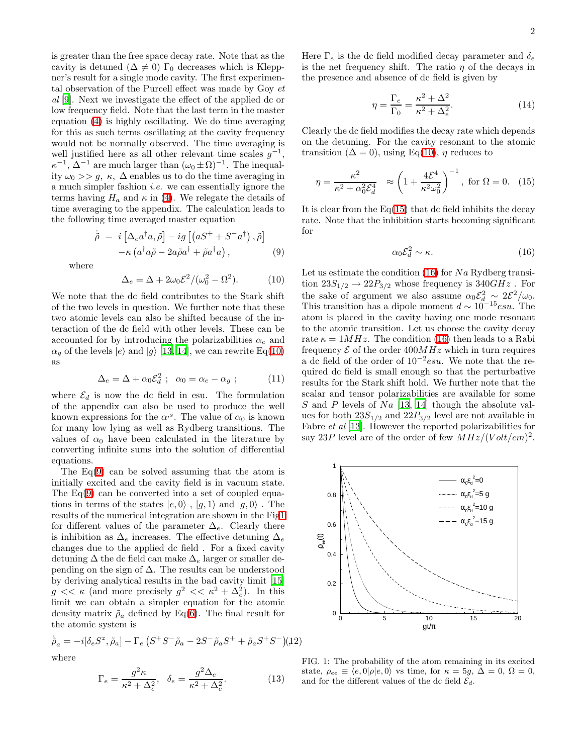2

is greater than the free space decay rate. Note that as the cavity is detuned  $(\Delta \neq 0)$  Γ<sub>0</sub> decreases which is Kleppner's result for a single mode cavity. The first experimental observation of the Purcell effect was made by Goy  $et$ al [\[9\]](#page-3-0). Next we investigate the effect of the applied dc or low frequency field. Note that the last term in the master equation [\(4\)](#page-0-2) is highly oscillating. We do time averaging for this as such terms oscillating at the cavity frequency would not be normally observed. The time averaging is well justified here as all other relevant time scales  $g^{-1}$ ,  $\kappa^{-1}$ ,  $\Delta^{-1}$  are much larger than  $(\omega_0 \pm \Omega)^{-1}$ . The inequality  $\omega_0 >> g$ ,  $\kappa$ ,  $\Delta$  enables us to do the time averaging in a much simpler fashion i.e. we can essentially ignore the terms having  $H_a$  and  $\kappa$  in [\(4\)](#page-0-2). We relegate the details of time averaging to the appendix. The calculation leads to the following time averaged master equation

$$
\dot{\tilde{\rho}} = i \left[ \Delta_e a^\dagger a, \tilde{\rho} \right] - ig \left[ \left( a S^+ + S^- a^\dagger \right), \tilde{\rho} \right] \n- \kappa \left( a^\dagger a \tilde{\rho} - 2a \tilde{\rho} a^\dagger + \tilde{\rho} a^\dagger a \right),
$$
\n(9)

<span id="page-1-0"></span>where

$$
\Delta_e = \Delta + 2\omega_0 \mathcal{E}^2 / (\omega_0^2 - \Omega^2). \tag{10}
$$

We note that the dc field contributes to the Stark shift of the two levels in question. We further note that these two atomic levels can also be shifted because of the interaction of the dc field with other levels. These can be accounted for by introducing the polarizabilities  $\alpha_e$  and  $\alpha_q$  of the levels  $|e\rangle$  and  $|g\rangle$  [\[13,](#page-3-4) [14](#page-3-5)], we can rewrite Eq[\(10\)](#page-1-0) as

$$
\Delta_e = \Delta + \alpha_0 \mathcal{E}_d^2 \; ; \; \; \alpha_0 = \alpha_e - \alpha_g \; ; \tag{11}
$$

where  $\mathcal{E}_d$  is now the dc field in esu. The formulation of the appendix can also be used to produce the well known expressions for the  $\alpha$ <sup>,s</sup>. The value of  $\alpha_0$  is known for many low lying as well as Rydberg transitions. The values of  $\alpha_0$  have been calculated in the literature by converting infinite sums into the solution of differential equations.

The  $Eq(9)$  $Eq(9)$  can be solved assuming that the atom is initially excited and the cavity field is in vacuum state. The  $Eq(9)$  $Eq(9)$  can be converted into a set of coupled equations in terms of the states  $|e, 0\rangle$ ,  $|g, 1\rangle$  and  $|g, 0\rangle$ . The results of the numerical integration are shown in the Fi[g1](#page-1-1) for different values of the parameter  $\Delta_e$ . Clearly there is inhibition as  $\Delta_e$  increases. The effective detuning  $\Delta_e$ changes due to the applied dc field . For a fixed cavity detuning  $\Delta$  the dc field can make  $\Delta_e$  larger or smaller depending on the sign of  $\Delta$ . The results can be understood by deriving analytical results in the bad cavity limit [\[15](#page-3-6)]  $g \ll \kappa$  (and more precisely  $g^2 \ll \kappa^2 + \Delta_e^2$ ). In this limit we can obtain a simpler equation for the atomic density matrix  $\rho_a$  defined by Eq[\(6\)](#page-0-3). The final result for the atomic system is

$$
\dot{\tilde{\rho}}_a = -i[\delta_e S^z, \tilde{\rho}_a] - \Gamma_e (S^+ S^- \tilde{\rho}_a - 2S^- \tilde{\rho}_a S^+ + \tilde{\rho}_a S^+ S^-)(12)
$$

where

$$
\Gamma_e = \frac{g^2 \kappa}{\kappa^2 + \Delta_e^2}, \quad \delta_e = \frac{g^2 \Delta_e}{\kappa^2 + \Delta_e^2}.
$$
 (13)

Here  $\Gamma_e$  is the dc field modified decay parameter and  $\delta_e$ is the net frequency shift. The ratio  $\eta$  of the decays in the presence and absence of dc field is given by

$$
\eta = \frac{\Gamma_e}{\Gamma_0} = \frac{\kappa^2 + \Delta^2}{\kappa^2 + \Delta_e^2}.\tag{14}
$$

Clearly the dc field modifies the decay rate which depends on the detuning. For the cavity resonant to the atomic transition ( $\Delta = 0$ ), using Eq[\(10\)](#page-1-0),  $\eta$  reduces to

$$
\eta = \frac{\kappa^2}{\kappa^2 + \alpha_0^2 \mathcal{E}_d^4} \approx \left(1 + \frac{4\mathcal{E}^4}{\kappa^2 \omega_0^2}\right)^{-1}, \text{ for } \Omega = 0. \quad (15)
$$

<span id="page-1-2"></span>It is clear from the  $Eq(15)$  $Eq(15)$  that dc field inhibits the decay rate. Note that the inhibition starts becoming significant for

$$
\alpha_0 \mathcal{E}_d^2 \sim \kappa. \tag{16}
$$

<span id="page-1-3"></span>Let us estimate the condition  $(16)$  for Na Rydberg transition  $23S_{1/2} \rightarrow 22P_{3/2}$  whose frequency is  $340GHz$ . For the sake of argument we also assume  $\alpha_0 \mathcal{E}_d^2 \sim 2\mathcal{E}^2/\omega_0$ . This transition has a dipole moment  $d \sim 10^{-15}$ esu. The atom is placed in the cavity having one mode resonant to the atomic transition. Let us choose the cavity decay rate  $\kappa = 1 MHz$ . The condition [\(16\)](#page-1-3) then leads to a Rabi frequency  $\mathcal E$  of the order  $400MHz$  which in turn requires a dc field of the order of  $10^{-2}$ esu. We note that the required dc field is small enough so that the perturbative results for the Stark shift hold. We further note that the scalar and tensor polarizabilities are available for some S and P levels of  $Na$  [\[13](#page-3-4), [14](#page-3-5)] though the absolute values for both  $23S_{1/2}$  and  $22P_{3/2}$  level are not available in Fabre *et al* [\[13](#page-3-4)]. However the reported polarizabilities for say 23P level are of the order of few  $MHz/(Volt/cm)^2$ .



<span id="page-1-1"></span>FIG. 1: The probability of the atom remaining in its excited state,  $\rho_{ee} \equiv \langle e, 0 | \rho | e, 0 \rangle$  vs time, for  $\kappa = 5g$ ,  $\Delta = 0$ ,  $\Omega = 0$ , and for the different values of the dc field  $\mathcal{E}_d$ .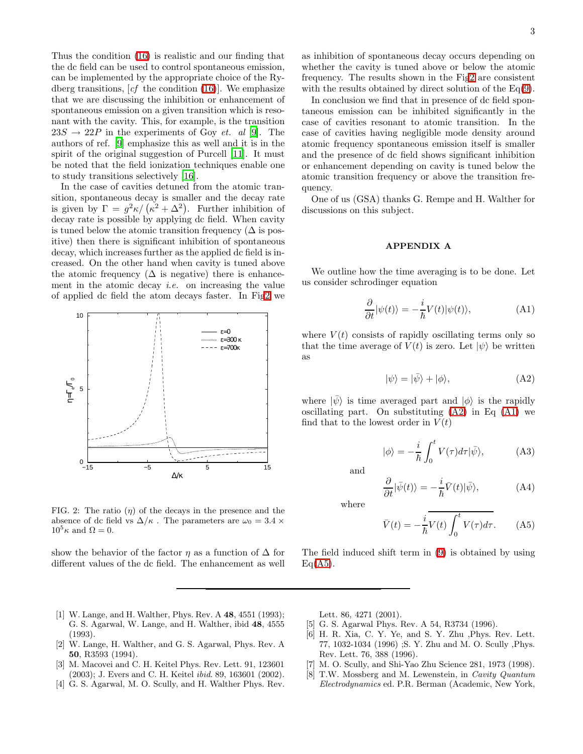Thus the condition [\(16\)](#page-1-3) is realistic and our finding that the dc field can be used to control spontaneous emission, can be implemented by the appropriate choice of the Rydberg transitions,  $[cf$  the condition  $(16)$ . We emphasize that we are discussing the inhibition or enhancement of spontaneous emission on a given transition which is resonant with the cavity. This, for example, is the transition  $23S \rightarrow 22P$  in the experiments of Goy *et. al* [\[9\]](#page-3-0). The authors of ref. [\[9](#page-3-0)] emphasize this as well and it is in the spirit of the original suggestion of Purcell [\[11\]](#page-3-2). It must be noted that the field ionization techniques enable one to study transitions selectively [\[16](#page-3-7)].

In the case of cavities detuned from the atomic transition, spontaneous decay is smaller and the decay rate is given by  $\Gamma = g^2 \kappa / (\kappa^2 + \Delta^2)$ . Further inhibition of decay rate is possible by applying dc field. When cavity is tuned below the atomic transition frequency  $(\Delta \text{ is pos})$ itive) then there is significant inhibition of spontaneous decay, which increases further as the applied dc field is increased. On the other hand when cavity is tuned above the atomic frequency  $(\Delta$  is negative) there is enhancement in the atomic decay *i.e.* on increasing the value of applied dc field the atom decays faster. In Fi[g2](#page-2-8) we



<span id="page-2-8"></span>FIG. 2: The ratio  $(\eta)$  of the decays in the presence and the absence of dc field vs  $\Delta/\kappa$ . The parameters are  $\omega_0 = 3.4 \times$  $10^5 \kappa$  and  $\Omega = 0$ .

show the behavior of the factor  $\eta$  as a function of  $\Delta$  for different values of the dc field. The enhancement as well as inhibition of spontaneous decay occurs depending on whether the cavity is tuned above or below the atomic frequency. The results shown in the Fi[g2](#page-2-8) are consistent with the results obtained by direct solution of the  $Eq(9)$  $Eq(9)$ .

In conclusion we find that in presence of dc field spontaneous emission can be inhibited significantly in the case of cavities resonant to atomic transition. In the case of cavities having negligible mode density around atomic frequency spontaneous emission itself is smaller and the presence of dc field shows significant inhibition or enhancement depending on cavity is tuned below the atomic transition frequency or above the transition frequency.

One of us (GSA) thanks G. Rempe and H. Walther for discussions on this subject.

## APPENDIX A

<span id="page-2-10"></span>We outline how the time averaging is to be done. Let us consider schrodinger equation

$$
\frac{\partial}{\partial t}|\psi(t)\rangle = -\frac{i}{\hbar}V(t)|\psi(t)\rangle, \tag{A1}
$$

<span id="page-2-9"></span>where  $V(t)$  consists of rapidly oscillating terms only so that the time average of  $V(t)$  is zero. Let  $|\psi\rangle$  be written as

$$
|\psi\rangle = |\bar{\psi}\rangle + |\phi\rangle, \tag{A2}
$$

where  $|\bar{\psi}\rangle$  is time averaged part and  $|\phi\rangle$  is the rapidly oscillating part. On substituting  $(A2)$  in Eq  $(A1)$  we find that to the lowest order in  $V(t)$ 

$$
|\phi\rangle = -\frac{i}{\hbar} \int_0^t V(\tau) d\tau |\bar{\psi}\rangle, \tag{A3}
$$

<span id="page-2-11"></span>and

$$
\frac{\partial}{\partial t}|\bar{\psi}(t)\rangle = -\frac{i}{\hbar}\bar{V}(t)|\bar{\psi}\rangle, \tag{A4}
$$

where

$$
\bar{V}(t) = -\frac{i}{\hbar}V(t)\int_0^t V(\tau)d\tau.
$$
 (A5)

The field induced shift term in [\(9\)](#page-1-0) is obtained by using  $Eq(A5)$  $Eq(A5)$ .

- <span id="page-2-0"></span>[1] W. Lange, and H. Walther, Phys. Rev. A 48, 4551 (1993); G. S. Agarwal, W. Lange, and H. Walther, ibid 48, 4555 (1993).
- <span id="page-2-1"></span>[2] W. Lange, H. Walther, and G. S. Agarwal, Phys. Rev. A 50, R3593 (1994).
- <span id="page-2-2"></span>[3] M. Macovei and C. H. Keitel Phys. Rev. Lett. 91, 123601 (2003); J. Evers and C. H. Keitel ibid. 89, 163601 (2002).
- <span id="page-2-3"></span>[4] G. S. Agarwal, M. O. Scully, and H. Walther Phys. Rev.

Lett. 86, 4271 (2001).

- [5] G. S. Agarwal Phys. Rev. A 54, R3734 (1996).
- <span id="page-2-5"></span><span id="page-2-4"></span>[6] H. R. Xia, C. Y. Ye, and S. Y. Zhu ,Phys. Rev. Lett. 77, 1032-1034 (1996) ;S. Y. Zhu and M. O. Scully ,Phys. Rev. Lett. 76, 388 (1996).
- <span id="page-2-6"></span>[7] M. O. Scully, and Shi-Yao Zhu Science 281, 1973 (1998).
- <span id="page-2-7"></span>[8] T.W. Mossberg and M. Lewenstein, in Cavity Quantum Electrodynamics ed. P.R. Berman (Academic, New York,